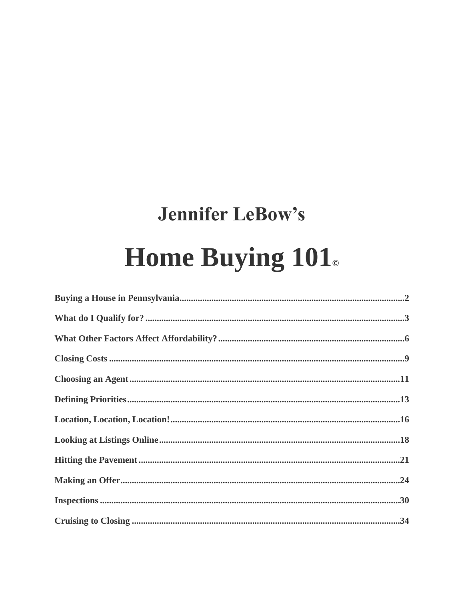# **Jennifer LeBow's** Home Buying 101.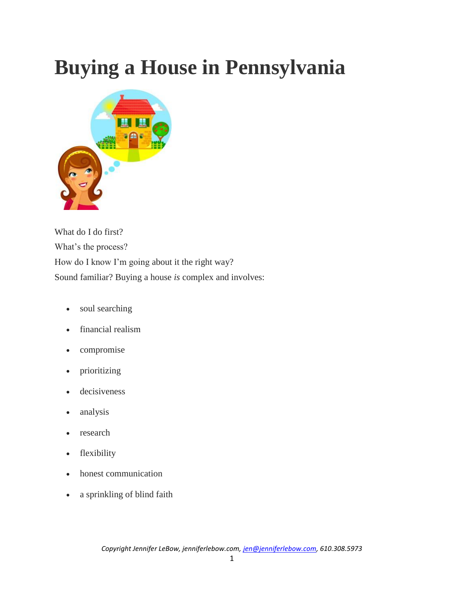# **Buying a House in Pennsylvania**



What do I do first? What's the process? How do I know I'm going about it the right way? Sound familiar? Buying a house *is* complex and involves:

- soul searching
- financial realism
- compromise
- prioritizing
- decisiveness
- analysis
- research
- flexibility
- honest communication
- a sprinkling of blind faith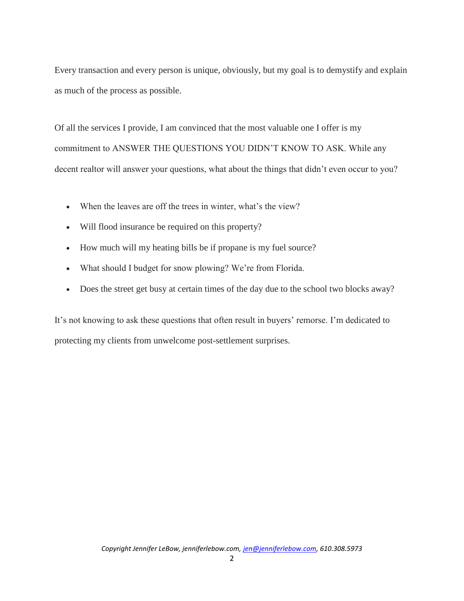Every transaction and every person is unique, obviously, but my goal is to demystify and explain as much of the process as possible.

Of all the services I provide, I am convinced that the most valuable one I offer is my commitment to ANSWER THE QUESTIONS YOU DIDN'T KNOW TO ASK. While any decent realtor will answer your questions, what about the things that didn't even occur to you?

- When the leaves are off the trees in winter, what's the view?
- Will flood insurance be required on this property?
- How much will my heating bills be if propane is my fuel source?
- What should I budget for snow plowing? We're from Florida.
- Does the street get busy at certain times of the day due to the school two blocks away?

It's not knowing to ask these questions that often result in buyers' remorse. I'm dedicated to protecting my clients from unwelcome post-settlement surprises.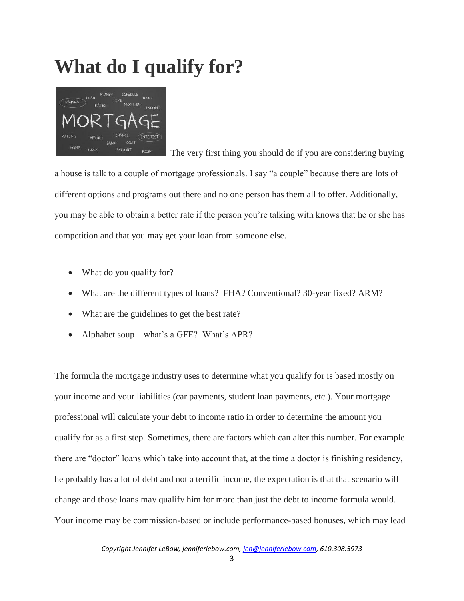# **What do I qualify for?**



 The very first thing you should do if you are considering buying a house is talk to a couple of mortgage professionals. I say "a couple" because there are lots of different options and programs out there and no one person has them all to offer. Additionally, you may be able to obtain a better rate if the person you're talking with knows that he or she has competition and that you may get your loan from someone else.

- What do you qualify for?
- What are the different types of loans? FHA? Conventional? 30-year fixed? ARM?
- What are the guidelines to get the best rate?
- Alphabet soup—what's a GFE? What's APR?

The formula the mortgage industry uses to determine what you qualify for is based mostly on your income and your liabilities (car payments, student loan payments, etc.). Your mortgage professional will calculate your debt to income ratio in order to determine the amount you qualify for as a first step. Sometimes, there are factors which can alter this number. For example there are "doctor" loans which take into account that, at the time a doctor is finishing residency, he probably has a lot of debt and not a terrific income, the expectation is that that scenario will change and those loans may qualify him for more than just the debt to income formula would. Your income may be commission-based or include performance-based bonuses, which may lead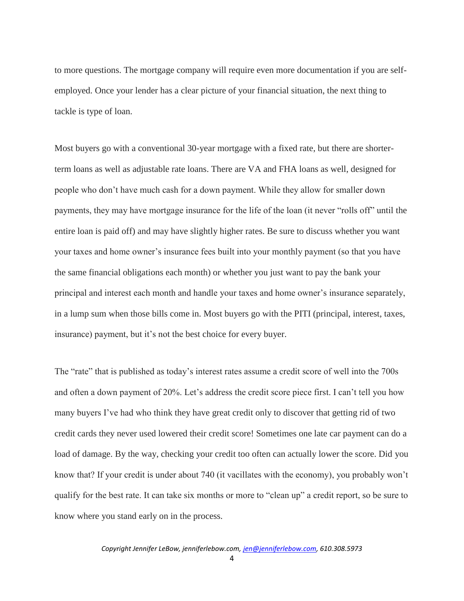to more questions. The mortgage company will require even more documentation if you are selfemployed. Once your lender has a clear picture of your financial situation, the next thing to tackle is type of loan.

Most buyers go with a conventional 30-year mortgage with a fixed rate, but there are shorterterm loans as well as adjustable rate loans. There are VA and FHA loans as well, designed for people who don't have much cash for a down payment. While they allow for smaller down payments, they may have mortgage insurance for the life of the loan (it never "rolls off" until the entire loan is paid off) and may have slightly higher rates. Be sure to discuss whether you want your taxes and home owner's insurance fees built into your monthly payment (so that you have the same financial obligations each month) or whether you just want to pay the bank your principal and interest each month and handle your taxes and home owner's insurance separately, in a lump sum when those bills come in. Most buyers go with the PITI (principal, interest, taxes, insurance) payment, but it's not the best choice for every buyer.

The "rate" that is published as today's interest rates assume a credit score of well into the 700s and often a down payment of 20%. Let's address the credit score piece first. I can't tell you how many buyers I've had who think they have great credit only to discover that getting rid of two credit cards they never used lowered their credit score! Sometimes one late car payment can do a load of damage. By the way, checking your credit too often can actually lower the score. Did you know that? If your credit is under about 740 (it vacillates with the economy), you probably won't qualify for the best rate. It can take six months or more to "clean up" a credit report, so be sure to know where you stand early on in the process.

4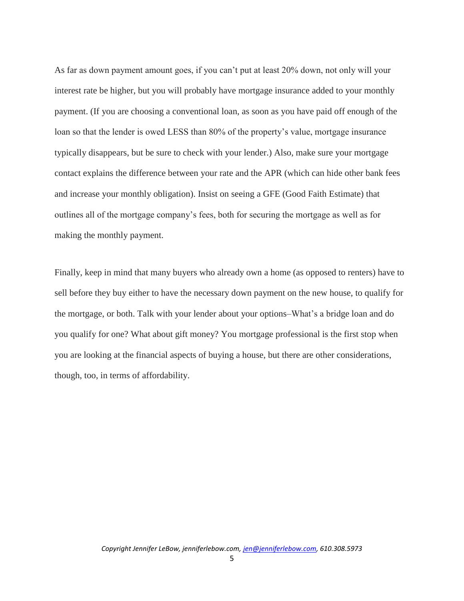As far as down payment amount goes, if you can't put at least 20% down, not only will your interest rate be higher, but you will probably have mortgage insurance added to your monthly payment. (If you are choosing a conventional loan, as soon as you have paid off enough of the loan so that the lender is owed LESS than 80% of the property's value, mortgage insurance typically disappears, but be sure to check with your lender.) Also, make sure your mortgage contact explains the difference between your rate and the APR (which can hide other bank fees and increase your monthly obligation). Insist on seeing a GFE (Good Faith Estimate) that outlines all of the mortgage company's fees, both for securing the mortgage as well as for making the monthly payment.

Finally, keep in mind that many buyers who already own a home (as opposed to renters) have to sell before they buy either to have the necessary down payment on the new house, to qualify for the mortgage, or both. Talk with your lender about your options–What's a bridge loan and do you qualify for one? What about gift money? You mortgage professional is the first stop when you are looking at the financial aspects of buying a house, but there are other considerations, though, too, in terms of affordability.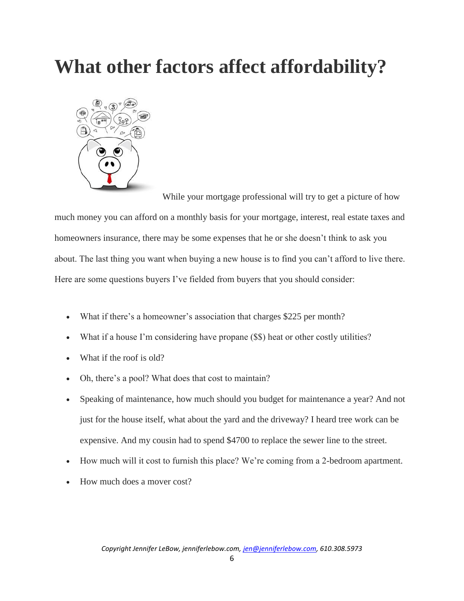### **What other factors affect affordability?**



While your mortgage professional will try to get a picture of how much money you can afford on a monthly basis for your mortgage, interest, real estate taxes and homeowners insurance, there may be some expenses that he or she doesn't think to ask you about. The last thing you want when buying a new house is to find you can't afford to live there. Here are some questions buyers I've fielded from buyers that you should consider:

- What if there's a homeowner's association that charges \$225 per month?
- What if a house I'm considering have propane (\$\$) heat or other costly utilities?
- What if the roof is old?
- Oh, there's a pool? What does that cost to maintain?
- Speaking of maintenance, how much should you budget for maintenance a year? And not just for the house itself, what about the yard and the driveway? I heard tree work can be expensive. And my cousin had to spend \$4700 to replace the sewer line to the street.
- How much will it cost to furnish this place? We're coming from a 2-bedroom apartment.
- How much does a mover cost?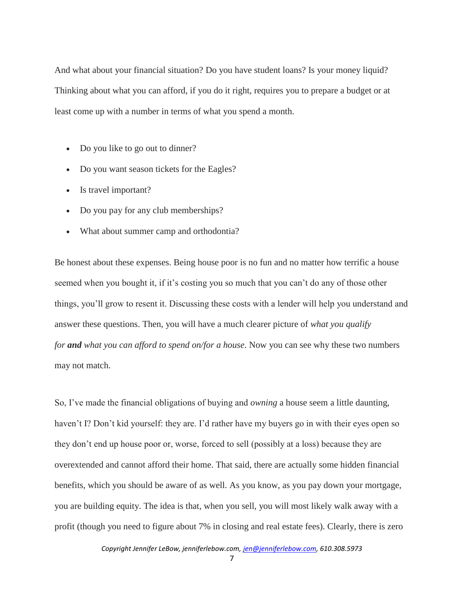And what about your financial situation? Do you have student loans? Is your money liquid? Thinking about what you can afford, if you do it right, requires you to prepare a budget or at least come up with a number in terms of what you spend a month.

- Do you like to go out to dinner?
- Do you want season tickets for the Eagles?
- Is travel important?
- Do you pay for any club memberships?
- What about summer camp and orthodontia?

Be honest about these expenses. Being house poor is no fun and no matter how terrific a house seemed when you bought it, if it's costing you so much that you can't do any of those other things, you'll grow to resent it. Discussing these costs with a lender will help you understand and answer these questions. Then, you will have a much clearer picture of *what you qualify for and what you can afford to spend on/for a house*. Now you can see why these two numbers may not match.

So, I've made the financial obligations of buying and *owning* a house seem a little daunting, haven't I? Don't kid yourself: they are. I'd rather have my buyers go in with their eyes open so they don't end up house poor or, worse, forced to sell (possibly at a loss) because they are overextended and cannot afford their home. That said, there are actually some hidden financial benefits, which you should be aware of as well. As you know, as you pay down your mortgage, you are building equity. The idea is that, when you sell, you will most likely walk away with a profit (though you need to figure about 7% in closing and real estate fees). Clearly, there is zero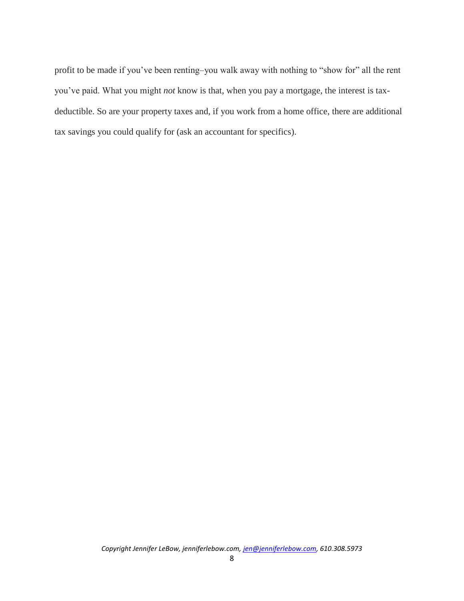profit to be made if you've been renting–you walk away with nothing to "show for" all the rent you've paid. What you might *not* know is that, when you pay a mortgage, the interest is taxdeductible. So are your property taxes and, if you work from a home office, there are additional tax savings you could qualify for (ask an accountant for specifics).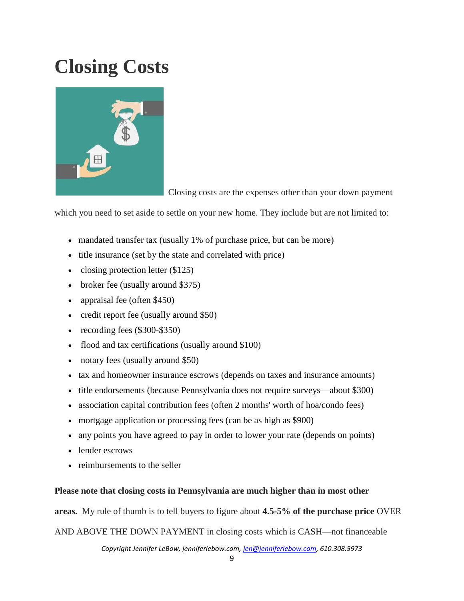# **Closing Costs**



Closing costs are the expenses other than your down payment

which you need to set aside to settle on your new home. They include but are not limited to:

- mandated transfer tax (usually 1% of purchase price, but can be more)
- title insurance (set by the state and correlated with price)
- closing protection letter  $(\$125)$
- broker fee (usually around \$375)
- appraisal fee (often \$450)
- credit report fee (usually around \$50)
- recording fees (\$300-\$350)
- flood and tax certifications (usually around \$100)
- notary fees (usually around \$50)
- tax and homeowner insurance escrows (depends on taxes and insurance amounts)
- title endorsements (because Pennsylvania does not require surveys—about \$300)
- association capital contribution fees (often 2 months' worth of hoa/condo fees)
- mortgage application or processing fees (can be as high as \$900)
- any points you have agreed to pay in order to lower your rate (depends on points)
- lender escrows
- reimbursements to the seller

#### **Please note that closing costs in Pennsylvania are much higher than in most other**

**areas.** My rule of thumb is to tell buyers to figure about **4.5-5% of the purchase price** OVER

AND ABOVE THE DOWN PAYMENT in closing costs which is CASH—not financeable

*Copyright Jennifer LeBow, jenniferlebow.com, jen@jenniferlebow.com, 610.308.5973*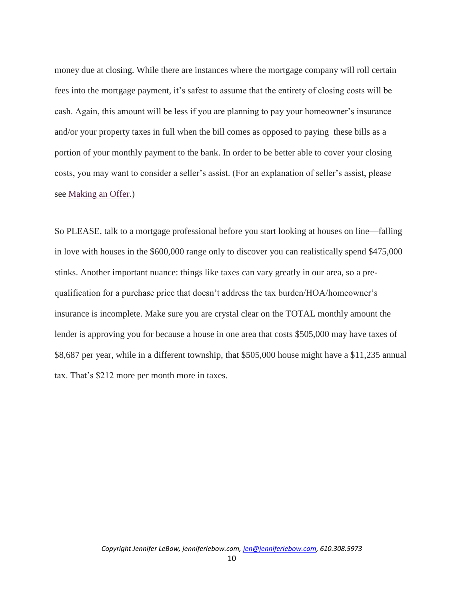money due at closing. While there are instances where the mortgage company will roll certain fees into the mortgage payment, it's safest to assume that the entirety of closing costs will be cash. Again, this amount will be less if you are planning to pay your homeowner's insurance and/or your property taxes in full when the bill comes as opposed to paying these bills as a portion of your monthly payment to the bank. In order to be better able to cover your closing costs, you may want to consider a seller's assist. (For an explanation of seller's assist, please see [Making an Offer.](http://jenniferlebow.com/buyers/making-an-offer/))

So PLEASE, talk to a mortgage professional before you start looking at houses on line—falling in love with houses in the \$600,000 range only to discover you can realistically spend \$475,000 stinks. Another important nuance: things like taxes can vary greatly in our area, so a prequalification for a purchase price that doesn't address the tax burden/HOA/homeowner's insurance is incomplete. Make sure you are crystal clear on the TOTAL monthly amount the lender is approving you for because a house in one area that costs \$505,000 may have taxes of \$8,687 per year, while in a different township, that \$505,000 house might have a \$11,235 annual tax. That's \$212 more per month more in taxes.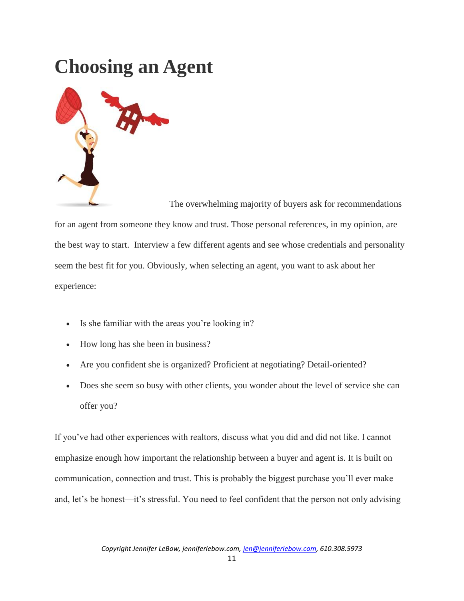### **Choosing an Agent**



The overwhelming majority of buyers ask for recommendations for an agent from someone they know and trust. Those personal references, in my opinion, are the best way to start. Interview a few different agents and see whose credentials and personality seem the best fit for you. Obviously, when selecting an agent, you want to ask about her experience:

- Is she familiar with the areas you're looking in?
- How long has she been in business?
- Are you confident she is organized? Proficient at negotiating? Detail-oriented?
- Does she seem so busy with other clients, you wonder about the level of service she can offer you?

If you've had other experiences with realtors, discuss what you did and did not like. I cannot emphasize enough how important the relationship between a buyer and agent is. It is built on communication, connection and trust. This is probably the biggest purchase you'll ever make and, let's be honest—it's stressful. You need to feel confident that the person not only advising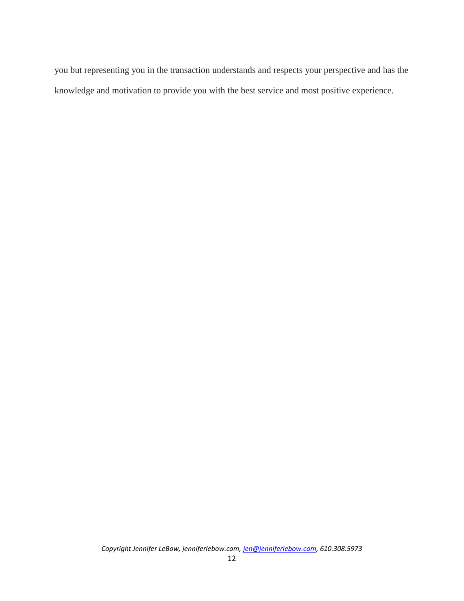you but representing you in the transaction understands and respects your perspective and has the knowledge and motivation to provide you with the best service and most positive experience.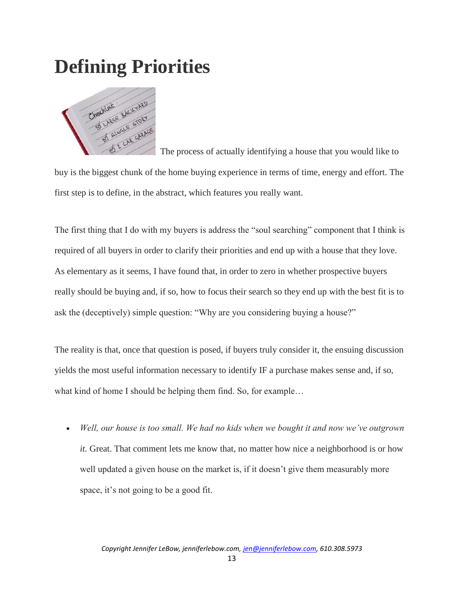### **Defining Priorities**



 The process of actually identifying a house that you would like to buy is the biggest chunk of the home buying experience in terms of time, energy and effort. The first step is to define, in the abstract, which features you really want.

The first thing that I do with my buyers is address the "soul searching" component that I think is required of all buyers in order to clarify their priorities and end up with a house that they love. As elementary as it seems, I have found that, in order to zero in whether prospective buyers really should be buying and, if so, how to focus their search so they end up with the best fit is to ask the (deceptively) simple question: "Why are you considering buying a house?"

The reality is that, once that question is posed, if buyers truly consider it, the ensuing discussion yields the most useful information necessary to identify IF a purchase makes sense and, if so, what kind of home I should be helping them find. So, for example…

 *Well, our house is too small. We had no kids when we bought it and now we've outgrown it.* Great. That comment lets me know that, no matter how nice a neighborhood is or how well updated a given house on the market is, if it doesn't give them measurably more space, it's not going to be a good fit.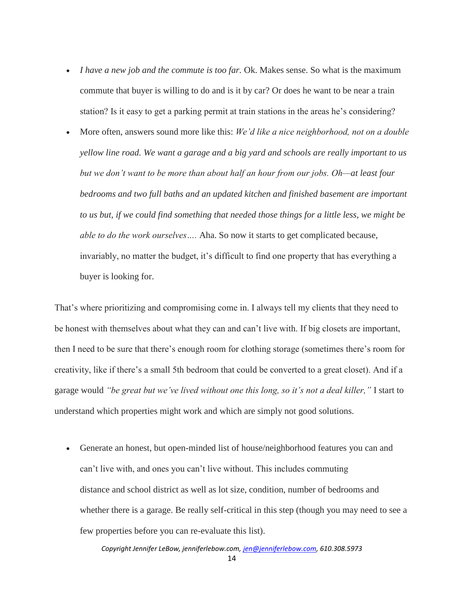- *I have a new job and the commute is too far.* Ok. Makes sense. So what is the maximum commute that buyer is willing to do and is it by car? Or does he want to be near a train station? Is it easy to get a parking permit at train stations in the areas he's considering?
- More often, answers sound more like this: *We'd like a nice neighborhood, not on a double yellow line road. We want a garage and a big yard and schools are really important to us but we don't want to be more than about half an hour from our jobs. Oh—at least four bedrooms and two full baths and an updated kitchen and finished basement are important to us but, if we could find something that needed those things for a little less, we might be able to do the work ourselves….* Aha. So now it starts to get complicated because, invariably, no matter the budget, it's difficult to find one property that has everything a buyer is looking for.

That's where prioritizing and compromising come in. I always tell my clients that they need to be honest with themselves about what they can and can't live with. If big closets are important, then I need to be sure that there's enough room for clothing storage (sometimes there's room for creativity, like if there's a small 5th bedroom that could be converted to a great closet). And if a garage would *"be great but we've lived without one this long, so it's not a deal killer,"* I start to understand which properties might work and which are simply not good solutions.

 Generate an honest, but open-minded list of house/neighborhood features you can and can't live with, and ones you can't live without. This includes commuting distance and school district as well as lot size, condition, number of bedrooms and whether there is a garage. Be really self-critical in this step (though you may need to see a few properties before you can re-evaluate this list).

*Copyright Jennifer LeBow, jenniferlebow.com, jen@jenniferlebow.com, 610.308.5973*

14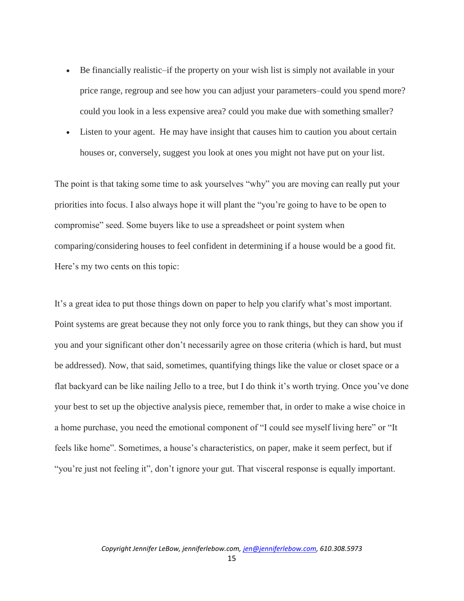- Be financially realistic–if the property on your wish list is simply not available in your price range, regroup and see how you can adjust your parameters–could you spend more? could you look in a less expensive area? could you make due with something smaller?
- Listen to your agent. He may have insight that causes him to caution you about certain houses or, conversely, suggest you look at ones you might not have put on your list.

The point is that taking some time to ask yourselves "why" you are moving can really put your priorities into focus. I also always hope it will plant the "you're going to have to be open to compromise" seed. Some buyers like to use a spreadsheet or point system when comparing/considering houses to feel confident in determining if a house would be a good fit. Here's my two cents on this topic:

It's a great idea to put those things down on paper to help you clarify what's most important. Point systems are great because they not only force you to rank things, but they can show you if you and your significant other don't necessarily agree on those criteria (which is hard, but must be addressed). Now, that said, sometimes, quantifying things like the value or closet space or a flat backyard can be like nailing Jello to a tree, but I do think it's worth trying. Once you've done your best to set up the objective analysis piece, remember that, in order to make a wise choice in a home purchase, you need the emotional component of "I could see myself living here" or "It feels like home". Sometimes, a house's characteristics, on paper, make it seem perfect, but if "you're just not feeling it", don't ignore your gut. That visceral response is equally important.

15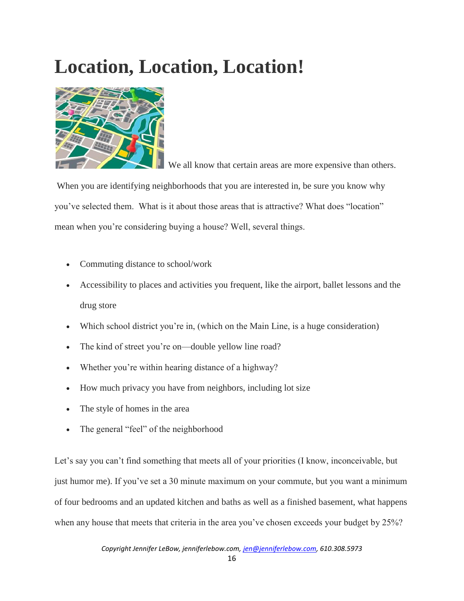# **Location, Location, Location!**



We all know that certain areas are more expensive than others.

When you are identifying neighborhoods that you are interested in, be sure you know why you've selected them. What is it about those areas that is attractive? What does "location" mean when you're considering buying a house? Well, several things.

- Commuting distance to school/work
- Accessibility to places and activities you frequent, like the airport, ballet lessons and the drug store
- Which school district you're in, (which on the Main Line, is a huge consideration)
- The kind of street you're on—double yellow line road?
- Whether you're within hearing distance of a highway?
- How much privacy you have from neighbors, including lot size
- The style of homes in the area
- The general "feel" of the neighborhood

Let's say you can't find something that meets all of your priorities (I know, inconceivable, but just humor me). If you've set a 30 minute maximum on your commute, but you want a minimum of four bedrooms and an updated kitchen and baths as well as a finished basement, what happens when any house that meets that criteria in the area you've chosen exceeds your budget by 25%?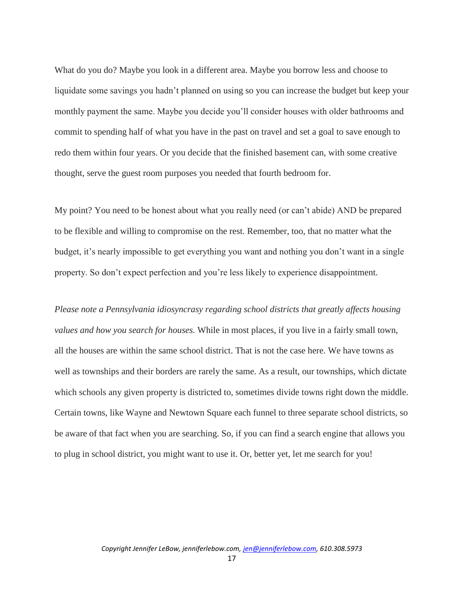What do you do? Maybe you look in a different area. Maybe you borrow less and choose to liquidate some savings you hadn't planned on using so you can increase the budget but keep your monthly payment the same. Maybe you decide you'll consider houses with older bathrooms and commit to spending half of what you have in the past on travel and set a goal to save enough to redo them within four years. Or you decide that the finished basement can, with some creative thought, serve the guest room purposes you needed that fourth bedroom for.

My point? You need to be honest about what you really need (or can't abide) AND be prepared to be flexible and willing to compromise on the rest. Remember, too, that no matter what the budget, it's nearly impossible to get everything you want and nothing you don't want in a single property. So don't expect perfection and you're less likely to experience disappointment.

*Please note a Pennsylvania idiosyncrasy regarding school districts that greatly affects housing values and how you search for houses.* While in most places, if you live in a fairly small town, all the houses are within the same school district. That is not the case here. We have towns as well as townships and their borders are rarely the same. As a result, our townships, which dictate which schools any given property is districted to, sometimes divide towns right down the middle. Certain towns, like Wayne and Newtown Square each funnel to three separate school districts, so be aware of that fact when you are searching. So, if you can find a search engine that allows you to plug in school district, you might want to use it. Or, better yet, let me search for you!

17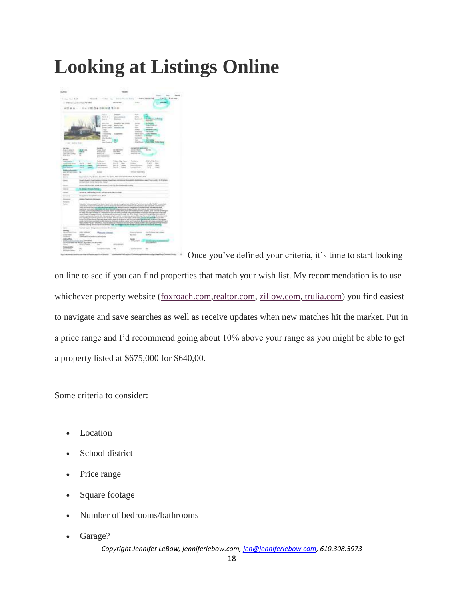## **Looking at Listings Online**



Once you've defined your criteria, it's time to start looking

on line to see if you can find properties that match your wish list. My recommendation is to use whichever property website [\(foxroach.com](http://foxroach.com/)[,realtor.com,](http://realtor.com/) [zillow.com,](http://zillow.com/) [trulia.com\)](http://trulia.com/) you find easiest to navigate and save searches as well as receive updates when new matches hit the market. Put in a price range and I'd recommend going about 10% above your range as you might be able to get a property listed at \$675,000 for \$640,00.

Some criteria to consider:

- Location
- School district
- Price range
- Square footage
- Number of bedrooms/bathrooms
- Garage?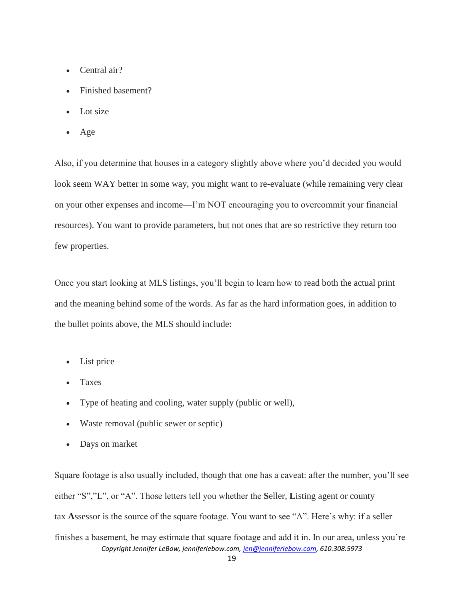- Central air?
- Finished basement?
- Lot size
- Age

Also, if you determine that houses in a category slightly above where you'd decided you would look seem WAY better in some way, you might want to re-evaluate (while remaining very clear on your other expenses and income—I'm NOT encouraging you to overcommit your financial resources). You want to provide parameters, but not ones that are so restrictive they return too few properties.

Once you start looking at MLS listings, you'll begin to learn how to read both the actual print and the meaning behind some of the words. As far as the hard information goes, in addition to the bullet points above, the MLS should include:

- List price
- Taxes
- Type of heating and cooling, water supply (public or well),
- Waste removal (public sewer or septic)
- Days on market

*Copyright Jennifer LeBow, jenniferlebow.com, jen@jenniferlebow.com, 610.308.5973* Square footage is also usually included, though that one has a caveat: after the number, you'll see either "S","L", or "A". Those letters tell you whether the **S**eller, **L**isting agent or county tax **A**ssessor is the source of the square footage. You want to see "A". Here's why: if a seller finishes a basement, he may estimate that square footage and add it in. In our area, unless you're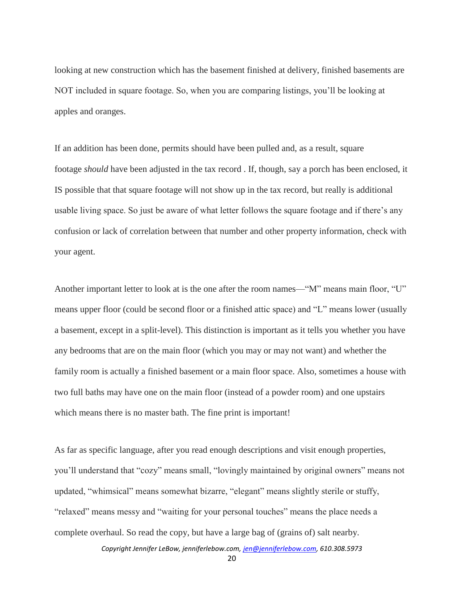looking at new construction which has the basement finished at delivery, finished basements are NOT included in square footage. So, when you are comparing listings, you'll be looking at apples and oranges.

If an addition has been done, permits should have been pulled and, as a result, square footage *should* have been adjusted in the tax record . If, though, say a porch has been enclosed, it IS possible that that square footage will not show up in the tax record, but really is additional usable living space. So just be aware of what letter follows the square footage and if there's any confusion or lack of correlation between that number and other property information, check with your agent.

Another important letter to look at is the one after the room names—"M" means main floor, "U" means upper floor (could be second floor or a finished attic space) and "L" means lower (usually a basement, except in a split-level). This distinction is important as it tells you whether you have any bedrooms that are on the main floor (which you may or may not want) and whether the family room is actually a finished basement or a main floor space. Also, sometimes a house with two full baths may have one on the main floor (instead of a powder room) and one upstairs which means there is no master bath. The fine print is important!

As far as specific language, after you read enough descriptions and visit enough properties, you'll understand that "cozy" means small, "lovingly maintained by original owners" means not updated, "whimsical" means somewhat bizarre, "elegant" means slightly sterile or stuffy, "relaxed" means messy and "waiting for your personal touches" means the place needs a complete overhaul. So read the copy, but have a large bag of (grains of) salt nearby.

*Copyright Jennifer LeBow, jenniferlebow.com, jen@jenniferlebow.com, 610.308.5973*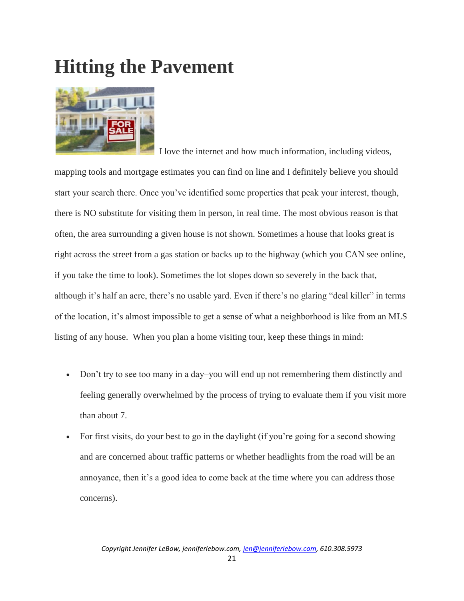### **Hitting the Pavement**



 I love the internet and how much information, including videos, mapping tools and mortgage estimates you can find on line and I definitely believe you should start your search there. Once you've identified some properties that peak your interest, though, there is NO substitute for visiting them in person, in real time. The most obvious reason is that often, the area surrounding a given house is not shown. Sometimes a house that looks great is right across the street from a gas station or backs up to the highway (which you CAN see online, if you take the time to look). Sometimes the lot slopes down so severely in the back that, although it's half an acre, there's no usable yard. Even if there's no glaring "deal killer" in terms of the location, it's almost impossible to get a sense of what a neighborhood is like from an MLS listing of any house. When you plan a home visiting tour, keep these things in mind:

- Don't try to see too many in a day–you will end up not remembering them distinctly and feeling generally overwhelmed by the process of trying to evaluate them if you visit more than about 7.
- For first visits, do your best to go in the daylight (if you're going for a second showing and are concerned about traffic patterns or whether headlights from the road will be an annoyance, then it's a good idea to come back at the time where you can address those concerns).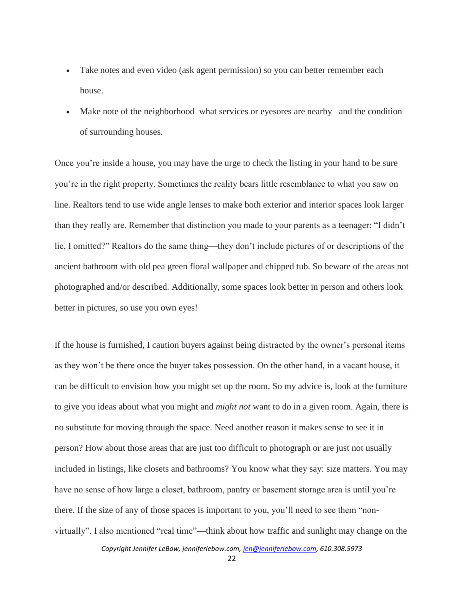- Take notes and even video (ask agent permission) so you can better remember each house.
- Make note of the neighborhood–what services or eyesores are nearby– and the condition of surrounding houses.

Once you're inside a house, you may have the urge to check the listing in your hand to be sure you're in the right property. Sometimes the reality bears little resemblance to what you saw on line. Realtors tend to use wide angle lenses to make both exterior and interior spaces look larger than they really are. Remember that distinction you made to your parents as a teenager: "I didn't lie, I omitted?" Realtors do the same thing—they don't include pictures of or descriptions of the ancient bathroom with old pea green floral wallpaper and chipped tub. So beware of the areas not photographed and/or described. Additionally, some spaces look better in person and others look better in pictures, so use you own eyes!

If the house is furnished, I caution buyers against being distracted by the owner's personal items as they won't be there once the buyer takes possession. On the other hand, in a vacant house, it can be difficult to envision how you might set up the room. So my advice is, look at the furniture to give you ideas about what you might and *might not* want to do in a given room. Again, there is no substitute for moving through the space. Need another reason it makes sense to see it in person? How about those areas that are just too difficult to photograph or are just not usually included in listings, like closets and bathrooms? You know what they say: size matters. You may have no sense of how large a closet, bathroom, pantry or basement storage area is until you're there. If the size of any of those spaces is important to you, you'll need to see them "nonvirtually". I also mentioned "real time"—think about how traffic and sunlight may change on the

22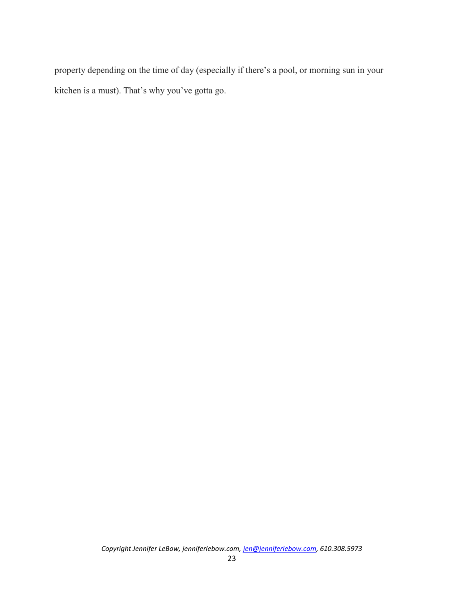property depending on the time of day (especially if there's a pool, or morning sun in your kitchen is a must). That's why you've gotta go.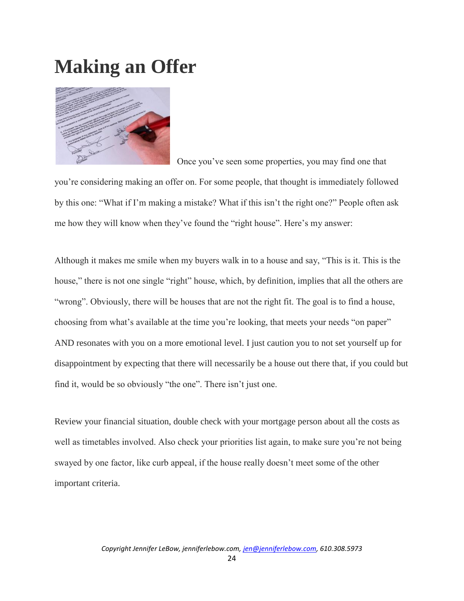#### **Making an Offer**



Once you've seen some properties, you may find one that

you're considering making an offer on. For some people, that thought is immediately followed by this one: "What if I'm making a mistake? What if this isn't the right one?" People often ask me how they will know when they've found the "right house". Here's my answer:

Although it makes me smile when my buyers walk in to a house and say, "This is it. This is the house," there is not one single "right" house, which, by definition, implies that all the others are "wrong". Obviously, there will be houses that are not the right fit. The goal is to find a house, choosing from what's available at the time you're looking, that meets your needs "on paper" AND resonates with you on a more emotional level. I just caution you to not set yourself up for disappointment by expecting that there will necessarily be a house out there that, if you could but find it, would be so obviously "the one". There isn't just one.

Review your financial situation, double check with your mortgage person about all the costs as well as timetables involved. Also check your priorities list again, to make sure you're not being swayed by one factor, like curb appeal, if the house really doesn't meet some of the other important criteria.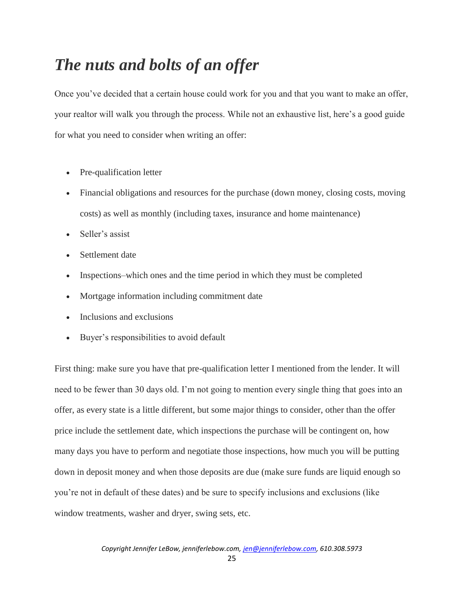#### *The nuts and bolts of an offer*

Once you've decided that a certain house could work for you and that you want to make an offer, your realtor will walk you through the process. While not an exhaustive list, here's a good guide for what you need to consider when writing an offer:

- Pre-qualification letter
- Financial obligations and resources for the purchase (down money, closing costs, moving costs) as well as monthly (including taxes, insurance and home maintenance)
- Seller's assist
- Settlement date
- Inspections–which ones and the time period in which they must be completed
- Mortgage information including commitment date
- Inclusions and exclusions
- Buyer's responsibilities to avoid default

First thing: make sure you have that pre-qualification letter I mentioned from the lender. It will need to be fewer than 30 days old. I'm not going to mention every single thing that goes into an offer, as every state is a little different, but some major things to consider, other than the offer price include the settlement date, which inspections the purchase will be contingent on, how many days you have to perform and negotiate those inspections, how much you will be putting down in deposit money and when those deposits are due (make sure funds are liquid enough so you're not in default of these dates) and be sure to specify inclusions and exclusions (like window treatments, washer and dryer, swing sets, etc.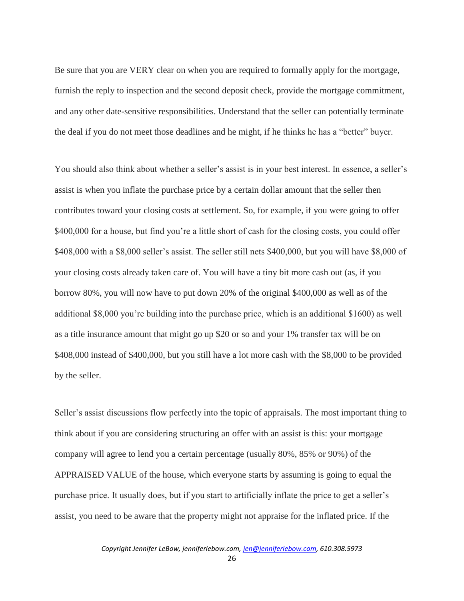Be sure that you are VERY clear on when you are required to formally apply for the mortgage, furnish the reply to inspection and the second deposit check, provide the mortgage commitment, and any other date-sensitive responsibilities. Understand that the seller can potentially terminate the deal if you do not meet those deadlines and he might, if he thinks he has a "better" buyer.

You should also think about whether a seller's assist is in your best interest. In essence, a seller's assist is when you inflate the purchase price by a certain dollar amount that the seller then contributes toward your closing costs at settlement. So, for example, if you were going to offer \$400,000 for a house, but find you're a little short of cash for the closing costs, you could offer \$408,000 with a \$8,000 seller's assist. The seller still nets \$400,000, but you will have \$8,000 of your closing costs already taken care of. You will have a tiny bit more cash out (as, if you borrow 80%, you will now have to put down 20% of the original \$400,000 as well as of the additional \$8,000 you're building into the purchase price, which is an additional \$1600) as well as a title insurance amount that might go up \$20 or so and your 1% transfer tax will be on \$408,000 instead of \$400,000, but you still have a lot more cash with the \$8,000 to be provided by the seller.

Seller's assist discussions flow perfectly into the topic of appraisals. The most important thing to think about if you are considering structuring an offer with an assist is this: your mortgage company will agree to lend you a certain percentage (usually 80%, 85% or 90%) of the APPRAISED VALUE of the house, which everyone starts by assuming is going to equal the purchase price. It usually does, but if you start to artificially inflate the price to get a seller's assist, you need to be aware that the property might not appraise for the inflated price. If the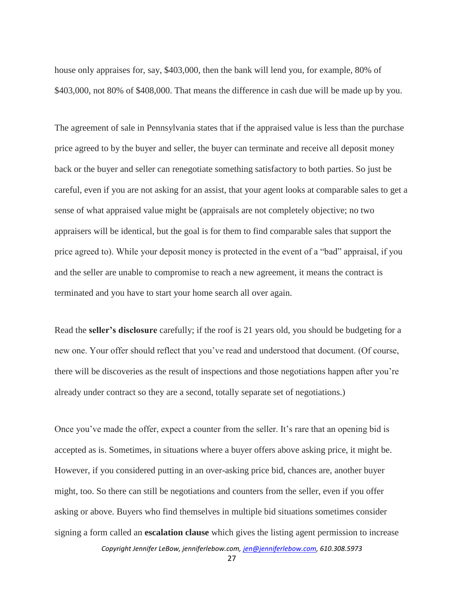house only appraises for, say, \$403,000, then the bank will lend you, for example, 80% of \$403,000, not 80% of \$408,000. That means the difference in cash due will be made up by you.

The agreement of sale in Pennsylvania states that if the appraised value is less than the purchase price agreed to by the buyer and seller, the buyer can terminate and receive all deposit money back or the buyer and seller can renegotiate something satisfactory to both parties. So just be careful, even if you are not asking for an assist, that your agent looks at comparable sales to get a sense of what appraised value might be (appraisals are not completely objective; no two appraisers will be identical, but the goal is for them to find comparable sales that support the price agreed to). While your deposit money is protected in the event of a "bad" appraisal, if you and the seller are unable to compromise to reach a new agreement, it means the contract is terminated and you have to start your home search all over again.

Read the **seller's disclosure** carefully; if the roof is 21 years old, you should be budgeting for a new one. Your offer should reflect that you've read and understood that document. (Of course, there will be discoveries as the result of inspections and those negotiations happen after you're already under contract so they are a second, totally separate set of negotiations.)

Once you've made the offer, expect a counter from the seller. It's rare that an opening bid is accepted as is. Sometimes, in situations where a buyer offers above asking price, it might be. However, if you considered putting in an over-asking price bid, chances are, another buyer might, too. So there can still be negotiations and counters from the seller, even if you offer asking or above. Buyers who find themselves in multiple bid situations sometimes consider signing a form called an **escalation clause** which gives the listing agent permission to increase

*Copyright Jennifer LeBow, jenniferlebow.com, jen@jenniferlebow.com, 610.308.5973*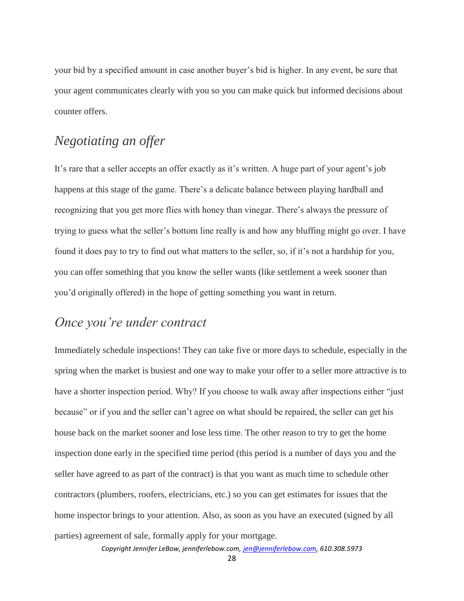your bid by a specified amount in case another buyer's bid is higher. In any event, be sure that your agent communicates clearly with you so you can make quick but informed decisions about counter offers.

#### *Negotiating an offer*

It's rare that a seller accepts an offer exactly as it's written. A huge part of your agent's job happens at this stage of the game. There's a delicate balance between playing hardball and recognizing that you get more flies with honey than vinegar. There's always the pressure of trying to guess what the seller's bottom line really is and how any bluffing might go over. I have found it does pay to try to find out what matters to the seller, so, if it's not a hardship for you, you can offer something that you know the seller wants (like settlement a week sooner than you'd originally offered) in the hope of getting something you want in return.

#### *Once you're under contract*

Immediately schedule inspections! They can take five or more days to schedule, especially in the spring when the market is busiest and one way to make your offer to a seller more attractive is to have a shorter inspection period. Why? If you choose to walk away after inspections either "just because" or if you and the seller can't agree on what should be repaired, the seller can get his house back on the market sooner and lose less time. The other reason to try to get the home inspection done early in the specified time period (this period is a number of days you and the seller have agreed to as part of the contract) is that you want as much time to schedule other contractors (plumbers, roofers, electricians, etc.) so you can get estimates for issues that the home inspector brings to your attention. Also, as soon as you have an executed (signed by all parties) agreement of sale, formally apply for your mortgage.

*Copyright Jennifer LeBow, jenniferlebow.com, jen@jenniferlebow.com, 610.308.5973*

28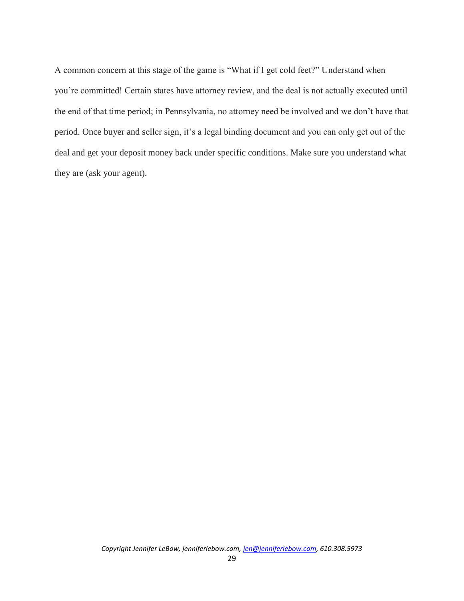A common concern at this stage of the game is "What if I get cold feet?" Understand when you're committed! Certain states have attorney review, and the deal is not actually executed until the end of that time period; in Pennsylvania, no attorney need be involved and we don't have that period. Once buyer and seller sign, it's a legal binding document and you can only get out of the deal and get your deposit money back under specific conditions. Make sure you understand what they are (ask your agent).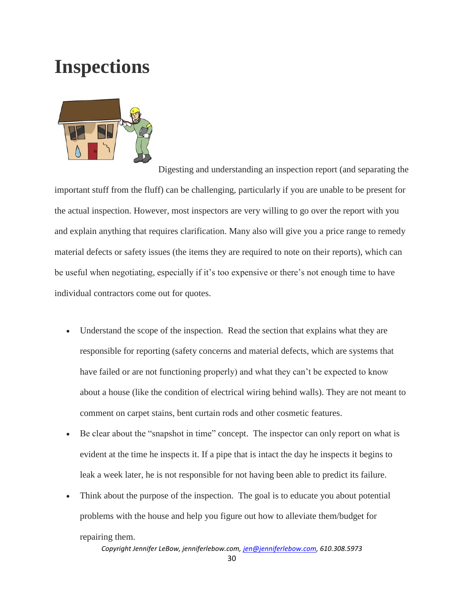### **Inspections**



 Digesting and understanding an inspection report (and separating the important stuff from the fluff) can be challenging, particularly if you are unable to be present for the actual inspection. However, most inspectors are very willing to go over the report with you and explain anything that requires clarification. Many also will give you a price range to remedy material defects or safety issues (the items they are required to note on their reports), which can be useful when negotiating, especially if it's too expensive or there's not enough time to have individual contractors come out for quotes.

- Understand the scope of the inspection. Read the section that explains what they are responsible for reporting (safety concerns and material defects, which are systems that have failed or are not functioning properly) and what they can't be expected to know about a house (like the condition of electrical wiring behind walls). They are not meant to comment on carpet stains, bent curtain rods and other cosmetic features.
- Be clear about the "snapshot in time" concept. The inspector can only report on what is evident at the time he inspects it. If a pipe that is intact the day he inspects it begins to leak a week later, he is not responsible for not having been able to predict its failure.
- Think about the purpose of the inspection. The goal is to educate you about potential problems with the house and help you figure out how to alleviate them/budget for repairing them.

*Copyright Jennifer LeBow, jenniferlebow.com, jen@jenniferlebow.com, 610.308.5973*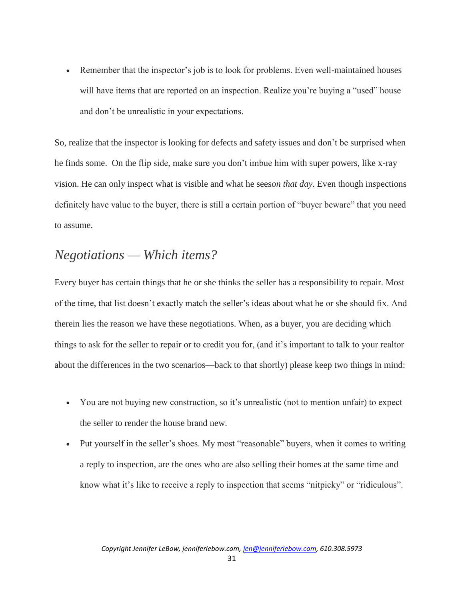Remember that the inspector's job is to look for problems. Even well-maintained houses will have items that are reported on an inspection. Realize you're buying a "used" house and don't be unrealistic in your expectations.

So, realize that the inspector is looking for defects and safety issues and don't be surprised when he finds some. On the flip side, make sure you don't imbue him with super powers, like x-ray vision. He can only inspect what is visible and what he sees*on that day*. Even though inspections definitely have value to the buyer, there is still a certain portion of "buyer beware" that you need to assume.

#### *Negotiations — Which items?*

Every buyer has certain things that he or she thinks the seller has a responsibility to repair. Most of the time, that list doesn't exactly match the seller's ideas about what he or she should fix. And therein lies the reason we have these negotiations. When, as a buyer, you are deciding which things to ask for the seller to repair or to credit you for, (and it's important to talk to your realtor about the differences in the two scenarios—back to that shortly) please keep two things in mind:

- You are not buying new construction, so it's unrealistic (not to mention unfair) to expect the seller to render the house brand new.
- Put yourself in the seller's shoes. My most "reasonable" buyers, when it comes to writing a reply to inspection, are the ones who are also selling their homes at the same time and know what it's like to receive a reply to inspection that seems "nitpicky" or "ridiculous".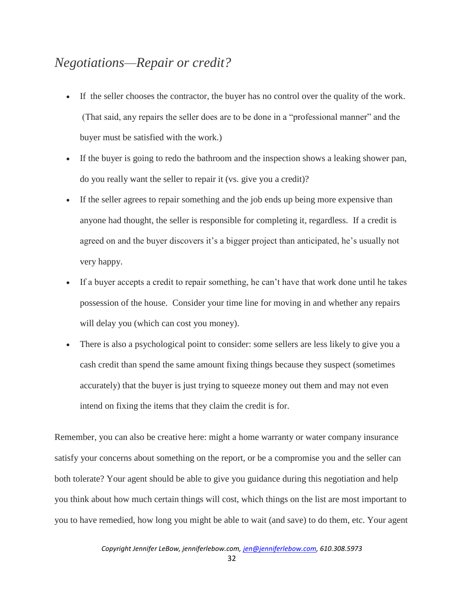#### *Negotiations—Repair or credit?*

- If the seller chooses the contractor, the buyer has no control over the quality of the work. (That said, any repairs the seller does are to be done in a "professional manner" and the buyer must be satisfied with the work.)
- If the buyer is going to redo the bathroom and the inspection shows a leaking shower pan, do you really want the seller to repair it (vs. give you a credit)?
- If the seller agrees to repair something and the job ends up being more expensive than anyone had thought, the seller is responsible for completing it, regardless. If a credit is agreed on and the buyer discovers it's a bigger project than anticipated, he's usually not very happy.
- If a buyer accepts a credit to repair something, he can't have that work done until he takes possession of the house. Consider your time line for moving in and whether any repairs will delay you (which can cost you money).
- There is also a psychological point to consider: some sellers are less likely to give you a cash credit than spend the same amount fixing things because they suspect (sometimes accurately) that the buyer is just trying to squeeze money out them and may not even intend on fixing the items that they claim the credit is for.

Remember, you can also be creative here: might a home warranty or water company insurance satisfy your concerns about something on the report, or be a compromise you and the seller can both tolerate? Your agent should be able to give you guidance during this negotiation and help you think about how much certain things will cost, which things on the list are most important to you to have remedied, how long you might be able to wait (and save) to do them, etc. Your agent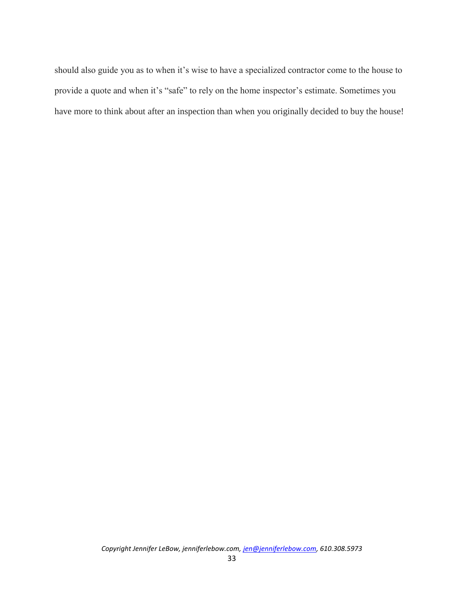should also guide you as to when it's wise to have a specialized contractor come to the house to provide a quote and when it's "safe" to rely on the home inspector's estimate. Sometimes you have more to think about after an inspection than when you originally decided to buy the house!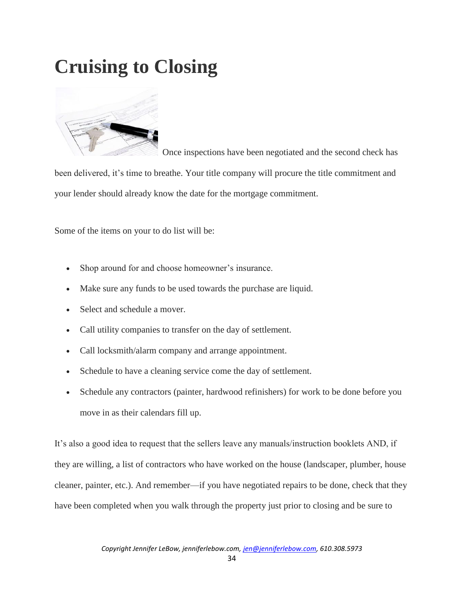# **Cruising to Closing**



 Once inspections have been negotiated and the second check has been delivered, it's time to breathe. Your title company will procure the title commitment and your lender should already know the date for the mortgage commitment.

Some of the items on your to do list will be:

- Shop around for and choose homeowner's insurance.
- Make sure any funds to be used towards the purchase are liquid.
- Select and schedule a mover.
- Call utility companies to transfer on the day of settlement.
- Call locksmith/alarm company and arrange appointment.
- Schedule to have a cleaning service come the day of settlement.
- Schedule any contractors (painter, hardwood refinishers) for work to be done before you move in as their calendars fill up.

It's also a good idea to request that the sellers leave any manuals/instruction booklets AND, if they are willing, a list of contractors who have worked on the house (landscaper, plumber, house cleaner, painter, etc.). And remember—if you have negotiated repairs to be done, check that they have been completed when you walk through the property just prior to closing and be sure to